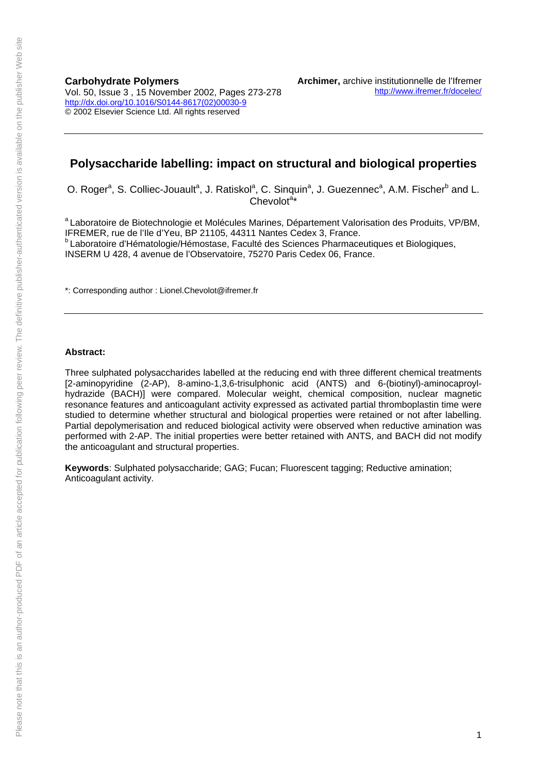**Carbohydrate Polymers**  Vol. 50, Issue 3 , 15 November 2002, Pages 273-278 [http://dx.doi.org/10.1016/S0144-8617\(02\)00030-9](http://dx.doi.org/10.1016/S0144-8617(02)00030-9) © 2002 Elsevier Science Ltd. All rights reserved

## **Polysaccharide labelling: impact on structural and biological properties**

O. Roger<sup>a</sup>, S. Colliec-Jouault<sup>a</sup>, J. Ratiskol<sup>a</sup>, C. Sinquin<sup>a</sup>, J. Guezennec<sup>a</sup>, A.M. Fischer<sup>b</sup> and L.  $Chevolot<sup>a<sub>*</sub></sup>$ 

a Laboratoire de Biotechnologie et Molécules Marines, Département Valorisation des Produits, VP/BM, IFREMER, rue de l'Ile d'Yeu, BP 21105, 44311 Nantes Cedex 3, France. <sup>b</sup> Laboratoire d'Hématologie/Hémostase, Faculté des Sciences Pharmaceutiques et Biologiques, INSERM U 428, 4 avenue de l'Observatoire, 75270 Paris Cedex 06, France.

\*: Corresponding author : Lionel.Chevolot@ifremer.fr

#### **Abstract:**

Three sulphated polysaccharides labelled at the reducing end with three different chemical treatments [2-aminopyridine (2-AP), 8-amino-1,3,6-trisulphonic acid (ANTS) and 6-(biotinyl)-aminocaproylhydrazide (BACH)] were compared. Molecular weight, chemical composition, nuclear magnetic resonance features and anticoagulant activity expressed as activated partial thromboplastin time were studied to determine whether structural and biological properties were retained or not after labelling. Partial depolymerisation and reduced biological activity were observed when reductive amination was performed with 2-AP. The initial properties were better retained with ANTS, and BACH did not modify the anticoagulant and structural properties.

**Keywords**: Sulphated polysaccharide; GAG; Fucan; Fluorescent tagging; Reductive amination; Anticoagulant activity.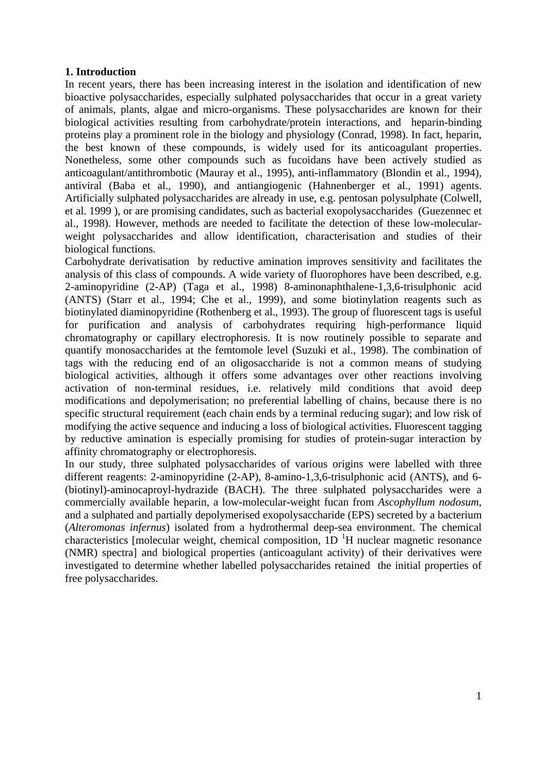## **1. Introduction**

In recent years, there has been increasing interest in the isolation and identification of new bioactive polysaccharides, especially sulphated polysaccharides that occur in a great variety of animals, plants, algae and micro-organisms. These polysaccharides are known for their biological activities resulting from carbohydrate/protein interactions, and heparin-binding proteins play a prominent role in the biology and physiology (Conrad, 1998). In fact, heparin, the best known of these compounds, is widely used for its anticoagulant properties. Nonetheless, some other compounds such as fucoidans have been actively studied as anticoagulant/antithrombotic (Mauray et al., 1995), anti-inflammatory (Blondin et al., 1994), antiviral (Baba et al., 1990), and antiangiogenic (Hahnenberger et al., 1991) agents. Artificially sulphated polysaccharides are already in use, e.g. pentosan polysulphate (Colwell, et al. 1999 ), or are promising candidates, such as bacterial exopolysaccharides (Guezennec et al., 1998). However, methods are needed to facilitate the detection of these low-molecularweight polysaccharides and allow identification, characterisation and studies of their biological functions.

Carbohydrate derivatisation by reductive amination improves sensitivity and facilitates the analysis of this class of compounds. A wide variety of fluorophores have been described, e.g. 2-aminopyridine (2-AP) (Taga et al., 1998) 8-aminonaphthalene-1,3,6-trisulphonic acid (ANTS) (Starr et al., 1994; Che et al., 1999), and some biotinylation reagents such as biotinylated diaminopyridine (Rothenberg et al., 1993). The group of fluorescent tags is useful for purification and analysis of carbohydrates requiring high-performance liquid chromatography or capillary electrophoresis. It is now routinely possible to separate and quantify monosaccharides at the femtomole level (Suzuki et al., 1998). The combination of tags with the reducing end of an oligosaccharide is not a common means of studying biological activities, although it offers some advantages over other reactions involving activation of non-terminal residues, i.e. relatively mild conditions that avoid deep modifications and depolymerisation; no preferential labelling of chains, because there is no specific structural requirement (each chain ends by a terminal reducing sugar); and low risk of modifying the active sequence and inducing a loss of biological activities. Fluorescent tagging by reductive amination is especially promising for studies of protein-sugar interaction by affinity chromatography or electrophoresis.

In our study, three sulphated polysaccharides of various origins were labelled with three different reagents: 2-aminopyridine (2-AP), 8-amino-1,3,6-trisulphonic acid (ANTS), and 6- (biotinyl)-aminocaproyl-hydrazide (BACH). The three sulphated polysaccharides were a commercially available heparin, a low-molecular-weight fucan from *Ascophyllum nodosum*, and a sulphated and partially depolymerised exopolysaccharide (EPS) secreted by a bacterium (*Alteromonas infernus*) isolated from a hydrothermal deep-sea environment. The chemical characteristics [molecular weight, chemical composition,  $1D<sup>-1</sup>H$  nuclear magnetic resonance (NMR) spectra] and biological properties (anticoagulant activity) of their derivatives were investigated to determine whether labelled polysaccharides retained the initial properties of free polysaccharides.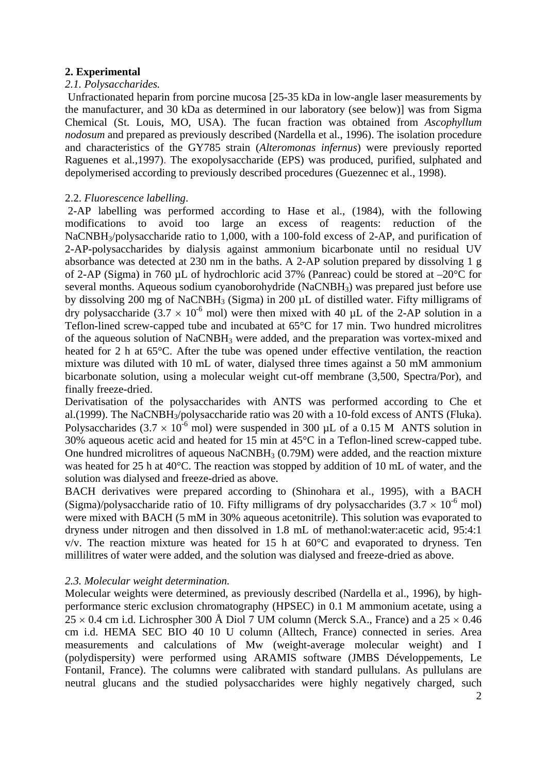## **2. Experimental**

#### *2.1. Polysaccharides.*

Unfractionated heparin from porcine mucosa [25-35 kDa in low-angle laser measurements by the manufacturer, and 30 kDa as determined in our laboratory (see below)] was from Sigma Chemical (St. Louis, MO, USA). The fucan fraction was obtained from *Ascophyllum nodosum* and prepared as previously described (Nardella et al., 1996). The isolation procedure and characteristics of the GY785 strain (*Alteromonas infernus*) were previously reported Raguenes et al*.*,1997). The exopolysaccharide (EPS) was produced, purified, sulphated and depolymerised according to previously described procedures (Guezennec et al., 1998).

### 2.2. *Fluorescence labelling*.

 2-AP labelling was performed according to Hase et al., (1984), with the following modifications to avoid too large an excess of reagents: reduction of the NaCNBH<sub>3</sub>/polysaccharide ratio to 1,000, with a 100-fold excess of 2-AP, and purification of 2-AP-polysaccharides by dialysis against ammonium bicarbonate until no residual UV absorbance was detected at 230 nm in the baths. A 2-AP solution prepared by dissolving 1 g of 2-AP (Sigma) in 760 µL of hydrochloric acid 37% (Panreac) could be stored at –20°C for several months. Aqueous sodium cyanoborohydride (NaCNBH3) was prepared just before use by dissolving 200 mg of NaCNBH3 (Sigma) in 200 µL of distilled water. Fifty milligrams of dry polysaccharide (3.7  $\times$  10<sup>-6</sup> mol) were then mixed with 40 µL of the 2-AP solution in a Teflon-lined screw-capped tube and incubated at 65°C for 17 min. Two hundred microlitres of the aqueous solution of NaCNBH3 were added, and the preparation was vortex-mixed and heated for 2 h at 65°C. After the tube was opened under effective ventilation, the reaction mixture was diluted with 10 mL of water, dialysed three times against a 50 mM ammonium bicarbonate solution, using a molecular weight cut-off membrane (3,500, Spectra/Por), and finally freeze-dried.

Derivatisation of the polysaccharides with ANTS was performed according to Che et al.(1999). The NaCNBH<sub>3</sub>/polysaccharide ratio was 20 with a 10-fold excess of ANTS (Fluka). Polysaccharides (3.7  $\times$  10<sup>-6</sup> mol) were suspended in 300 µL of a 0.15 M ANTS solution in 30% aqueous acetic acid and heated for 15 min at 45°C in a Teflon-lined screw-capped tube. One hundred microlitres of aqueous NaCNBH<sub>3</sub> (0.79M) were added, and the reaction mixture was heated for 25 h at 40°C. The reaction was stopped by addition of 10 mL of water, and the solution was dialysed and freeze-dried as above.

BACH derivatives were prepared according to (Shinohara et al., 1995), with a BACH (Sigma)/polysaccharide ratio of 10. Fifty milligrams of dry polysaccharides  $(3.7 \times 10^{-6}$  mol) were mixed with BACH (5 mM in 30% aqueous acetonitrile). This solution was evaporated to dryness under nitrogen and then dissolved in 1.8 mL of methanol:water:acetic acid, 95:4:1  $v/v$ . The reaction mixture was heated for 15 h at  $60^{\circ}$ C and evaporated to dryness. Ten millilitres of water were added, and the solution was dialysed and freeze-dried as above.

## *2.3. Molecular weight determination.*

Molecular weights were determined, as previously described (Nardella et al., 1996), by highperformance steric exclusion chromatography (HPSEC) in 0.1 M ammonium acetate, using a  $25 \times 0.4$  cm i.d. Lichrospher 300 Å Diol 7 UM column (Merck S.A., France) and a  $25 \times 0.46$ cm i.d. HEMA SEC BIO 40 10 U column (Alltech, France) connected in series. Area measurements and calculations of Mw (weight-average molecular weight) and I (polydispersity) were performed using ARAMIS software (JMBS Développements, Le Fontanil, France). The columns were calibrated with standard pullulans. As pullulans are neutral glucans and the studied polysaccharides were highly negatively charged, such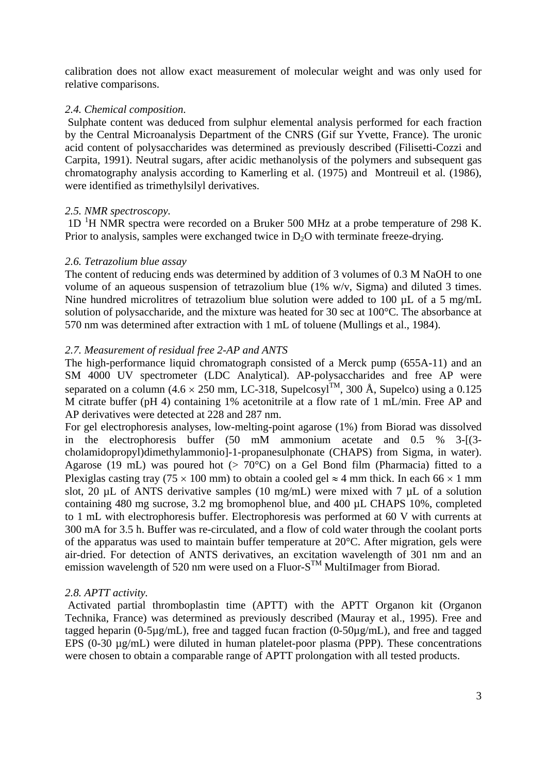calibration does not allow exact measurement of molecular weight and was only used for relative comparisons.

#### *2.4. Chemical composition*.

 Sulphate content was deduced from sulphur elemental analysis performed for each fraction by the Central Microanalysis Department of the CNRS (Gif sur Yvette, France). The uronic acid content of polysaccharides was determined as previously described (Filisetti-Cozzi and Carpita, 1991). Neutral sugars, after acidic methanolysis of the polymers and subsequent gas chromatography analysis according to Kamerling et al. (1975) and Montreuil et al. (1986), were identified as trimethylsilyl derivatives.

### *2.5. NMR spectroscopy.*

1D<sup>1</sup>H NMR spectra were recorded on a Bruker 500 MHz at a probe temperature of 298 K. Prior to analysis, samples were exchanged twice in  $D_2O$  with terminate freeze-drying.

### *2.6. Tetrazolium blue assay*

The content of reducing ends was determined by addition of 3 volumes of 0.3 M NaOH to one volume of an aqueous suspension of tetrazolium blue (1% w/v, Sigma) and diluted 3 times. Nine hundred microlitres of tetrazolium blue solution were added to 100 µL of a 5 mg/mL solution of polysaccharide, and the mixture was heated for 30 sec at 100°C. The absorbance at 570 nm was determined after extraction with 1 mL of toluene (Mullings et al., 1984).

### *2.7. Measurement of residual free 2-AP and ANTS*

The high-performance liquid chromatograph consisted of a Merck pump (655A-11) and an SM 4000 UV spectrometer (LDC Analytical). AP-polysaccharides and free AP were separated on a column (4.6  $\times$  250 mm, LC-318, Supelcosyl<sup>TM</sup>, 300 Å, Supelco) using a 0.125 M citrate buffer (pH 4) containing 1% acetonitrile at a flow rate of 1 mL/min. Free AP and AP derivatives were detected at 228 and 287 nm.

For gel electrophoresis analyses, low-melting-point agarose (1%) from Biorad was dissolved in the electrophoresis buffer (50 mM ammonium acetate and 0.5 % 3-[(3 cholamidopropyl)dimethylammonio]-1-propanesulphonate (CHAPS) from Sigma, in water). Agarose (19 mL) was poured hot ( $> 70^{\circ}$ C) on a Gel Bond film (Pharmacia) fitted to a Plexiglas casting tray (75 × 100 mm) to obtain a cooled gel  $\approx$  4 mm thick. In each 66 × 1 mm slot, 20 µL of ANTS derivative samples (10 mg/mL) were mixed with 7 µL of a solution containing 480 mg sucrose, 3.2 mg bromophenol blue, and 400 µL CHAPS 10%, completed to 1 mL with electrophoresis buffer. Electrophoresis was performed at 60 V with currents at 300 mA for 3.5 h. Buffer was re-circulated, and a flow of cold water through the coolant ports of the apparatus was used to maintain buffer temperature at 20°C. After migration, gels were air-dried. For detection of ANTS derivatives, an excitation wavelength of 301 nm and an emission wavelength of 520 nm were used on a Fluor- $S^{TM}$  MultiImager from Biorad.

## *2.8. APTT activity.*

 Activated partial thromboplastin time (APTT) with the APTT Organon kit (Organon Technika, France) was determined as previously described (Mauray et al., 1995). Free and tagged heparin (0-5µg/mL), free and tagged fucan fraction (0-50µg/mL), and free and tagged EPS (0-30  $\mu$ g/mL) were diluted in human platelet-poor plasma (PPP). These concentrations were chosen to obtain a comparable range of APTT prolongation with all tested products.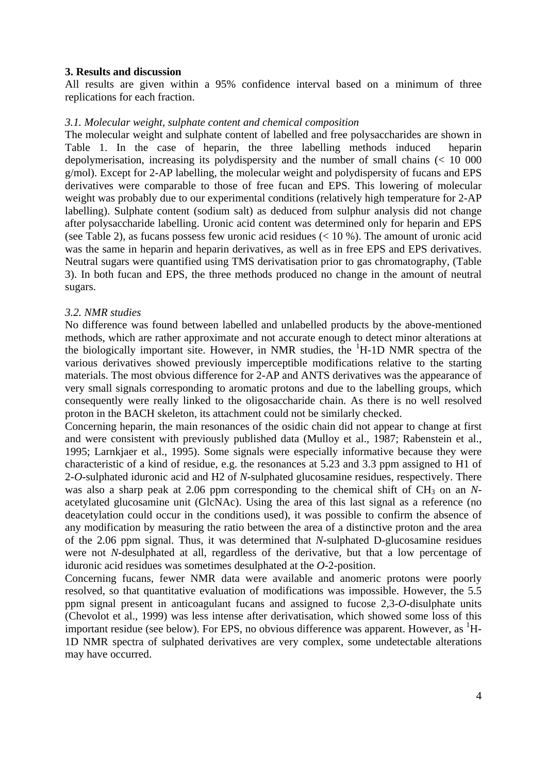#### **3. Results and discussion**

All results are given within a 95% confidence interval based on a minimum of three replications for each fraction.

#### *3.1. Molecular weight, sulphate content and chemical composition*

The molecular weight and sulphate content of labelled and free polysaccharides are shown in Table 1. In the case of heparin, the three labelling methods induced heparin depolymerisation, increasing its polydispersity and the number of small chains (< 10 000 g/mol). Except for 2-AP labelling, the molecular weight and polydispersity of fucans and EPS derivatives were comparable to those of free fucan and EPS. This lowering of molecular weight was probably due to our experimental conditions (relatively high temperature for 2-AP labelling). Sulphate content (sodium salt) as deduced from sulphur analysis did not change after polysaccharide labelling. Uronic acid content was determined only for heparin and EPS (see Table 2), as fucans possess few uronic acid residues  $(< 10 %$ ). The amount of uronic acid was the same in heparin and heparin derivatives, as well as in free EPS and EPS derivatives. Neutral sugars were quantified using TMS derivatisation prior to gas chromatography, (Table 3). In both fucan and EPS, the three methods produced no change in the amount of neutral sugars.

#### *3.2. NMR studies*

No difference was found between labelled and unlabelled products by the above-mentioned methods, which are rather approximate and not accurate enough to detect minor alterations at the biologically important site. However, in NMR studies, the <sup>1</sup>H-1D NMR spectra of the various derivatives showed previously imperceptible modifications relative to the starting materials. The most obvious difference for 2-AP and ANTS derivatives was the appearance of very small signals corresponding to aromatic protons and due to the labelling groups, which consequently were really linked to the oligosaccharide chain. As there is no well resolved proton in the BACH skeleton, its attachment could not be similarly checked.

Concerning heparin, the main resonances of the osidic chain did not appear to change at first and were consistent with previously published data (Mulloy et al., 1987; Rabenstein et al., 1995; Larnkjaer et al., 1995). Some signals were especially informative because they were characteristic of a kind of residue, e.g. the resonances at 5.23 and 3.3 ppm assigned to H1 of 2-*O*-sulphated iduronic acid and H2 of *N*-sulphated glucosamine residues, respectively. There was also a sharp peak at 2.06 ppm corresponding to the chemical shift of  $CH_3$  on an *N*acetylated glucosamine unit (GlcNAc). Using the area of this last signal as a reference (no deacetylation could occur in the conditions used), it was possible to confirm the absence of any modification by measuring the ratio between the area of a distinctive proton and the area of the 2.06 ppm signal. Thus, it was determined that *N*-sulphated D-glucosamine residues were not *N*-desulphated at all, regardless of the derivative, but that a low percentage of iduronic acid residues was sometimes desulphated at the *O*-2-position.

Concerning fucans, fewer NMR data were available and anomeric protons were poorly resolved, so that quantitative evaluation of modifications was impossible. However, the 5.5 ppm signal present in anticoagulant fucans and assigned to fucose 2,3-*O*-disulphate units (Chevolot et al., 1999) was less intense after derivatisation, which showed some loss of this important residue (see below). For EPS, no obvious difference was apparent. However, as  ${}^{1}$ H-1D NMR spectra of sulphated derivatives are very complex, some undetectable alterations may have occurred.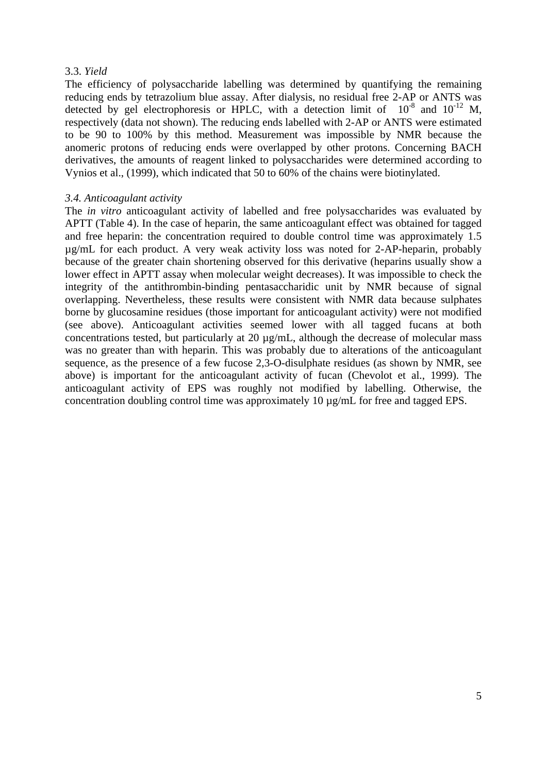### 3.3. *Yield*

The efficiency of polysaccharide labelling was determined by quantifying the remaining reducing ends by tetrazolium blue assay. After dialysis, no residual free 2-AP or ANTS was detected by gel electrophoresis or HPLC, with a detection limit of  $10^{-8}$  and  $10^{-12}$  M, respectively (data not shown). The reducing ends labelled with 2-AP or ANTS were estimated to be 90 to 100% by this method. Measurement was impossible by NMR because the anomeric protons of reducing ends were overlapped by other protons. Concerning BACH derivatives, the amounts of reagent linked to polysaccharides were determined according to Vynios et al., (1999), which indicated that 50 to 60% of the chains were biotinylated.

#### *3.4. Anticoagulant activity*

The *in vitro* anticoagulant activity of labelled and free polysaccharides was evaluated by APTT (Table 4). In the case of heparin, the same anticoagulant effect was obtained for tagged and free heparin: the concentration required to double control time was approximately 1.5 µg/mL for each product. A very weak activity loss was noted for 2-AP-heparin, probably because of the greater chain shortening observed for this derivative (heparins usually show a lower effect in APTT assay when molecular weight decreases). It was impossible to check the integrity of the antithrombin-binding pentasaccharidic unit by NMR because of signal overlapping. Nevertheless, these results were consistent with NMR data because sulphates borne by glucosamine residues (those important for anticoagulant activity) were not modified (see above). Anticoagulant activities seemed lower with all tagged fucans at both concentrations tested, but particularly at 20 µg/mL, although the decrease of molecular mass was no greater than with heparin. This was probably due to alterations of the anticoagulant sequence, as the presence of a few fucose 2,3-O-disulphate residues (as shown by NMR, see above) is important for the anticoagulant activity of fucan (Chevolot et al., 1999). The anticoagulant activity of EPS was roughly not modified by labelling. Otherwise, the concentration doubling control time was approximately 10 µg/mL for free and tagged EPS.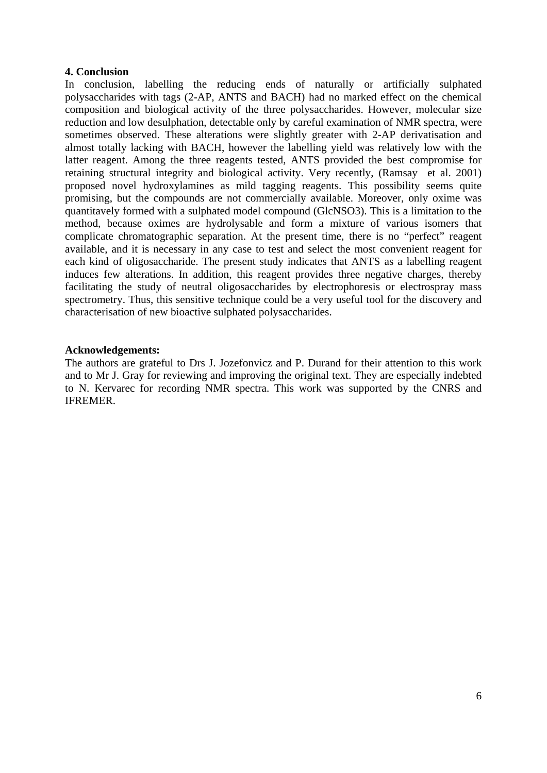#### **4. Conclusion**

In conclusion, labelling the reducing ends of naturally or artificially sulphated polysaccharides with tags (2-AP, ANTS and BACH) had no marked effect on the chemical composition and biological activity of the three polysaccharides. However, molecular size reduction and low desulphation, detectable only by careful examination of NMR spectra, were sometimes observed. These alterations were slightly greater with 2-AP derivatisation and almost totally lacking with BACH, however the labelling yield was relatively low with the latter reagent. Among the three reagents tested, ANTS provided the best compromise for retaining structural integrity and biological activity. Very recently, (Ramsay et al. 2001) proposed novel hydroxylamines as mild tagging reagents. This possibility seems quite promising, but the compounds are not commercially available. Moreover, only oxime was quantitavely formed with a sulphated model compound (GlcNSO3). This is a limitation to the method, because oximes are hydrolysable and form a mixture of various isomers that complicate chromatographic separation. At the present time, there is no "perfect" reagent available, and it is necessary in any case to test and select the most convenient reagent for each kind of oligosaccharide. The present study indicates that ANTS as a labelling reagent induces few alterations. In addition, this reagent provides three negative charges, thereby facilitating the study of neutral oligosaccharides by electrophoresis or electrospray mass spectrometry. Thus, this sensitive technique could be a very useful tool for the discovery and characterisation of new bioactive sulphated polysaccharides.

#### **Acknowledgements:**

The authors are grateful to Drs J. Jozefonvicz and P. Durand for their attention to this work and to Mr J. Gray for reviewing and improving the original text. They are especially indebted to N. Kervarec for recording NMR spectra. This work was supported by the CNRS and IFREMER.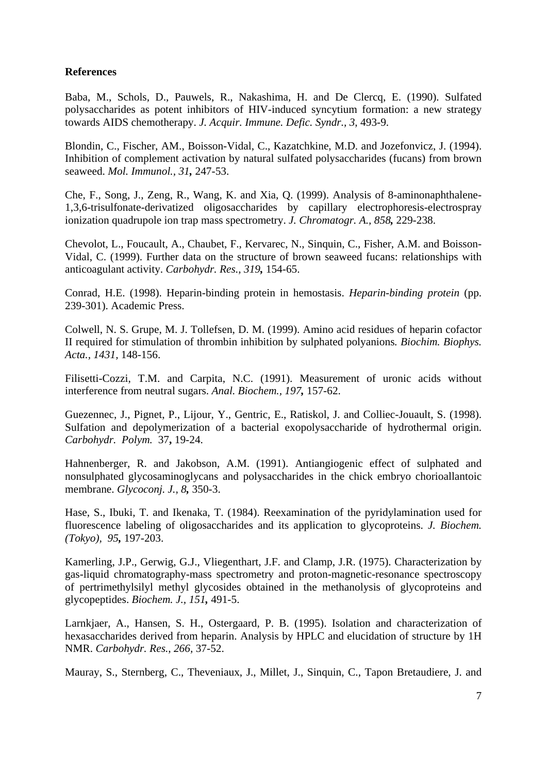## **References**

Baba, M., Schols, D., Pauwels, R., Nakashima, H. and De Clercq, E. (1990). Sulfated polysaccharides as potent inhibitors of HIV-induced syncytium formation: a new strategy towards AIDS chemotherapy. *J. Acquir. Immune. Defic. Syndr., 3*, 493-9.

Blondin, C., Fischer, AM., Boisson-Vidal, C., Kazatchkine, M.D. and Jozefonvicz, J. (1994). Inhibition of complement activation by natural sulfated polysaccharides (fucans) from brown seaweed. *Mol. Immunol., 31,* 247-53.

Che, F., Song, J., Zeng, R., Wang, K. and Xia, Q. (1999). Analysis of 8-aminonaphthalene-1,3,6-trisulfonate-derivatized oligosaccharides by capillary electrophoresis-electrospray ionization quadrupole ion trap mass spectrometry. *J. Chromatogr. A., 858,* 229-238.

Chevolot, L., Foucault, A., Chaubet, F., Kervarec, N., Sinquin, C., Fisher, A.M. and Boisson-Vidal, C. (1999). Further data on the structure of brown seaweed fucans: relationships with anticoagulant activity. *Carbohydr. Res., 319,* 154-65.

Conrad, H.E. (1998). Heparin-binding protein in hemostasis. *Heparin-binding protein* (pp. 239-301). Academic Press.

Colwell, N. S. Grupe, M. J. Tollefsen, D. M. (1999). Amino acid residues of heparin cofactor II required for stimulation of thrombin inhibition by sulphated polyanions*. Biochim. Biophys. Acta., 1431,* 148-156.

Filisetti-Cozzi, T.M. and Carpita, N.C. (1991). Measurement of uronic acids without interference from neutral sugars. *Anal. Biochem., 197,* 157-62.

Guezennec, J., Pignet, P., Lijour, Y., Gentric, E., Ratiskol, J. and Colliec-Jouault, S. (1998). Sulfation and depolymerization of a bacterial exopolysaccharide of hydrothermal origin. *Carbohydr. Polym.* 37**,** 19-24.

Hahnenberger, R. and Jakobson, A.M. (1991). Antiangiogenic effect of sulphated and nonsulphated glycosaminoglycans and polysaccharides in the chick embryo chorioallantoic membrane. *Glycoconj. J., 8,* 350-3.

Hase, S., Ibuki, T. and Ikenaka, T. (1984). Reexamination of the pyridylamination used for fluorescence labeling of oligosaccharides and its application to glycoproteins. *J. Biochem. (Tokyo), 95,* 197-203.

Kamerling, J.P., Gerwig, G.J., Vliegenthart, J.F. and Clamp, J.R. (1975). Characterization by gas-liquid chromatography-mass spectrometry and proton-magnetic-resonance spectroscopy of pertrimethylsilyl methyl glycosides obtained in the methanolysis of glycoproteins and glycopeptides. *Biochem. J., 151,* 491-5.

Larnkjaer, A., Hansen, S. H., Ostergaard, P. B. (1995). Isolation and characterization of hexasaccharides derived from heparin. Analysis by HPLC and elucidation of structure by 1H NMR. *Carbohydr. Res.*, *266,* 37-52.

Mauray, S., Sternberg, C., Theveniaux, J., Millet, J., Sinquin, C., Tapon Bretaudiere, J. and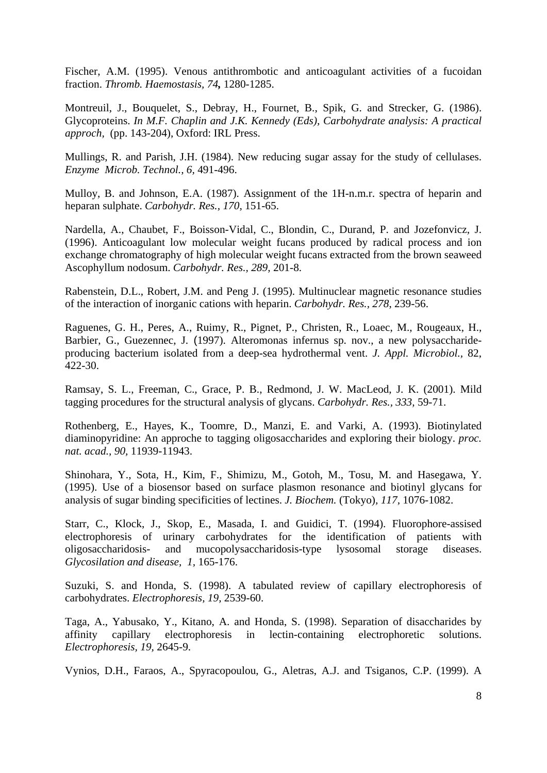Fischer, A.M. (1995). Venous antithrombotic and anticoagulant activities of a fucoidan fraction. *Thromb. Haemostasis, 74,* 1280-1285.

Montreuil, J., Bouquelet, S., Debray, H., Fournet, B., Spik, G. and Strecker, G. (1986). Glycoproteins. *In M.F. Chaplin and J.K. Kennedy (Eds), Carbohydrate analysis: A practical approch,* (pp. 143-204), Oxford: IRL Press.

Mullings, R. and Parish, J.H. (1984). New reducing sugar assay for the study of cellulases. *Enzyme Microb. Technol., 6,* 491-496.

Mulloy, B. and Johnson, E.A. (1987). Assignment of the 1H-n.m.r. spectra of heparin and heparan sulphate. *Carbohydr. Res., 170,* 151-65.

Nardella, A., Chaubet, F., Boisson-Vidal, C., Blondin, C., Durand, P. and Jozefonvicz, J. (1996). Anticoagulant low molecular weight fucans produced by radical process and ion exchange chromatography of high molecular weight fucans extracted from the brown seaweed Ascophyllum nodosum. *Carbohydr. Res., 289,* 201-8.

Rabenstein, D.L., Robert, J.M. and Peng J. (1995). Multinuclear magnetic resonance studies of the interaction of inorganic cations with heparin. *Carbohydr. Res., 278*, 239-56.

Raguenes, G. H., Peres, A., Ruimy, R., Pignet, P., Christen, R., Loaec, M., Rougeaux, H., Barbier, G., Guezennec, J. (1997). Alteromonas infernus sp. nov., a new polysaccharideproducing bacterium isolated from a deep-sea hydrothermal vent. *J. Appl. Microbiol.,* 82, 422-30.

Ramsay, S. L., Freeman, C., Grace, P. B., Redmond, J. W. MacLeod, J. K. (2001). Mild tagging procedures for the structural analysis of glycans. *Carbohydr. Res., 333,* 59-71.

Rothenberg, E., Hayes, K., Toomre, D., Manzi, E. and Varki, A. (1993). Biotinylated diaminopyridine: An approche to tagging oligosaccharides and exploring their biology. *proc. nat. acad., 90,* 11939-11943.

Shinohara, Y., Sota, H., Kim, F., Shimizu, M., Gotoh, M., Tosu, M. and Hasegawa, Y. (1995). Use of a biosensor based on surface plasmon resonance and biotinyl glycans for analysis of sugar binding specificities of lectines. *J. Biochem.* (Tokyo)*, 117,* 1076-1082.

Starr, C., Klock, J., Skop, E., Masada, I. and Guidici, T. (1994). Fluorophore-assised electrophoresis of urinary carbohydrates for the identification of patients with oligosaccharidosis- and mucopolysaccharidosis-type lysosomal storage diseases. *Glycosilation and disease, 1,* 165-176.

Suzuki, S. and Honda, S. (1998). A tabulated review of capillary electrophoresis of carbohydrates. *Electrophoresis, 19,* 2539-60.

Taga, A., Yabusako, Y., Kitano, A. and Honda, S. (1998). Separation of disaccharides by affinity capillary electrophoresis in lectin-containing electrophoretic solutions. *Electrophoresis, 19,* 2645-9.

Vynios, D.H., Faraos, A., Spyracopoulou, G., Aletras, A.J. and Tsiganos, C.P. (1999). A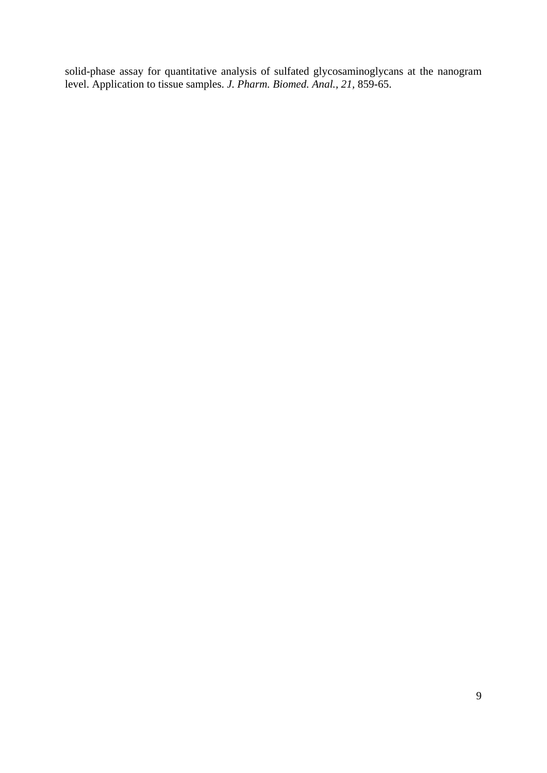solid-phase assay for quantitative analysis of sulfated glycosaminoglycans at the nanogram level. Application to tissue samples. *J. Pharm. Biomed. Anal., 21,* 859-65.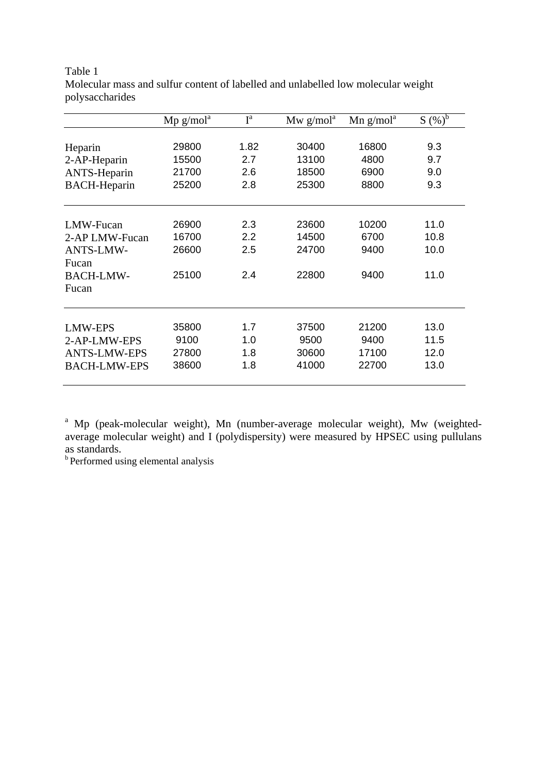|                     | $Mp$ g/mol <sup>a</sup> | $I^a$ | Mw $g/mola$ | $Mn$ g/mol <sup>a</sup> | $S(\sqrt[6]{\delta})^b$ |
|---------------------|-------------------------|-------|-------------|-------------------------|-------------------------|
|                     |                         |       |             |                         |                         |
| Heparin             | 29800                   | 1.82  | 30400       | 16800                   | 9.3                     |
| 2-AP-Heparin        | 15500                   | 2.7   | 13100       | 4800                    | 9.7                     |
| <b>ANTS-Heparin</b> | 21700                   | 2.6   | 18500       | 6900                    | 9.0                     |
| <b>BACH-Heparin</b> | 25200                   | 2.8   | 25300       | 8800                    | 9.3                     |
|                     |                         |       |             |                         |                         |
| LMW-Fucan           | 26900                   | 2.3   | 23600       | 10200                   | 11.0                    |
| 2-AP LMW-Fucan      | 16700                   | 2.2   | 14500       | 6700                    | 10.8                    |
| <b>ANTS-LMW-</b>    | 26600                   | 2.5   | 24700       | 9400                    | 10.0                    |
| Fucan               |                         |       |             |                         |                         |
| <b>BACH-LMW-</b>    | 25100                   | 2.4   | 22800       | 9400                    | 11.0                    |
| Fucan               |                         |       |             |                         |                         |
|                     |                         |       |             |                         |                         |
| <b>LMW-EPS</b>      | 35800                   | 1.7   | 37500       | 21200                   | 13.0                    |
| 2-AP-LMW-EPS        | 9100                    | 1.0   | 9500        | 9400                    | 11.5                    |
| <b>ANTS-LMW-EPS</b> | 27800                   | 1.8   | 30600       | 17100                   | 12.0                    |
| <b>BACH-LMW-EPS</b> | 38600                   | 1.8   | 41000       | 22700                   | 13.0                    |
|                     |                         |       |             |                         |                         |

Table 1 Molecular mass and sulfur content of labelled and unlabelled low molecular weight polysaccharides

<sup>a</sup> Mp (peak-molecular weight), Mn (number-average molecular weight), Mw (weightedaverage molecular weight) and I (polydispersity) were measured by HPSEC using pullulans as standards.

<sup>b</sup> Performed using elemental analysis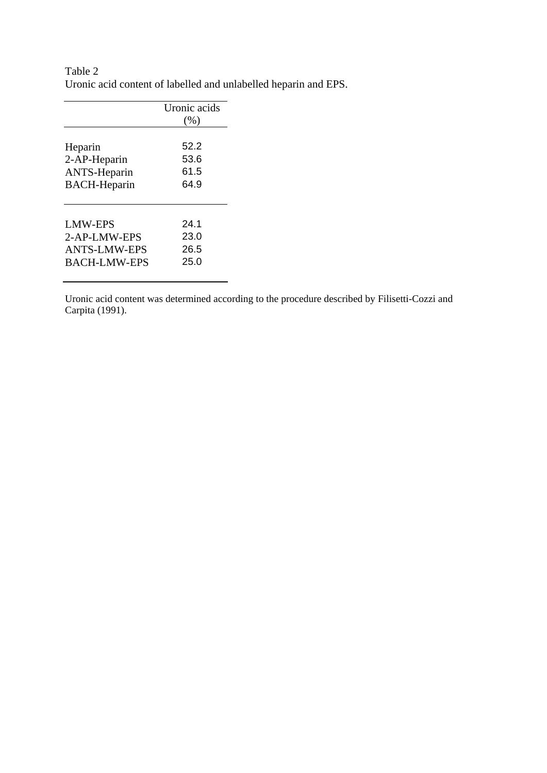| Table 2 |                                                                 |
|---------|-----------------------------------------------------------------|
|         | Uronic acid content of labelled and unlabelled heparin and EPS. |

|                     | Uronic acids |
|---------------------|--------------|
|                     | (% )         |
|                     |              |
| Heparin             | 52.2         |
| 2-AP-Heparin        | 53.6         |
| <b>ANTS-Heparin</b> | 61.5         |
| <b>BACH-Heparin</b> | 64.9         |
|                     |              |
| <b>LMW-EPS</b>      | 24.1         |
|                     | 23.0         |
| 2-AP-LMW-EPS        |              |
| <b>ANTS-LMW-EPS</b> | 26.5         |
| <b>BACH-LMW-EPS</b> | 25.0         |
|                     |              |

Uronic acid content was determined according to the procedure described by Filisetti-Cozzi and Carpita (1991).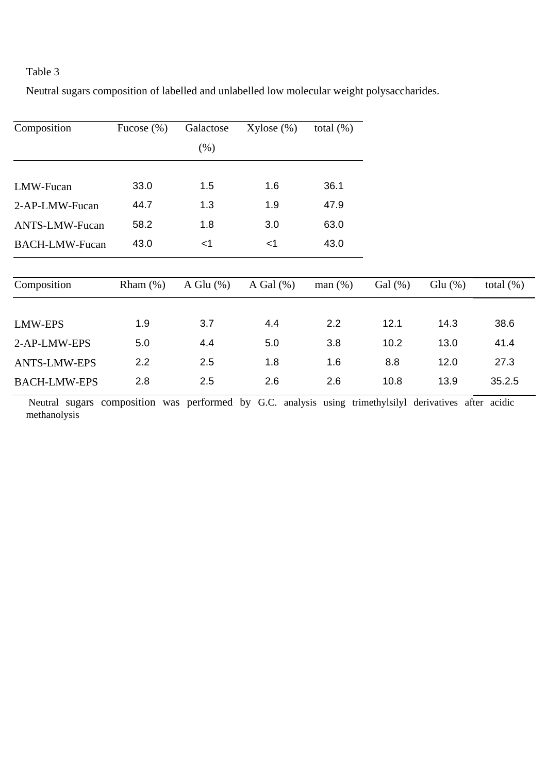# Table 3

Neutral sugars composition of labelled and unlabelled low molecular weight polysaccharides.

| Composition           | Fucose $(\% )$ | Galactose    | $Xylose (\%)$ | total $(\%)$ |            |            |              |
|-----------------------|----------------|--------------|---------------|--------------|------------|------------|--------------|
|                       |                | (% )         |               |              |            |            |              |
|                       |                |              |               |              |            |            |              |
| LMW-Fucan             | 33.0           | 1.5          | 1.6           | 36.1         |            |            |              |
| 2-AP-LMW-Fucan        | 44.7           | 1.3          | 1.9           | 47.9         |            |            |              |
| ANTS-LMW-Fucan        | 58.2           | 1.8          | 3.0           | 63.0         |            |            |              |
| <b>BACH-LMW-Fucan</b> | 43.0           | $<$ 1        | $<$ 1         | 43.0         |            |            |              |
| Composition           | Rham $(\%)$    | A Glu $(\%)$ | A Gal $(\%)$  | man(%)       | Gal $(\%)$ | Glu $(\%)$ | total $(\%)$ |
|                       |                |              |               |              |            |            |              |
| <b>LMW-EPS</b>        | 1.9            | 3.7          | 4.4           | 2.2          | 12.1       | 14.3       | 38.6         |
| 2-AP-LMW-EPS          | 5.0            | 4.4          | 5.0           | 3.8          | 10.2       | 13.0       | 41.4         |
| <b>ANTS-LMW-EPS</b>   | 2.2            | 2.5          | 1.8           | 1.6          | 8.8        | 12.0       | 27.3         |
| <b>BACH-LMW-EPS</b>   | 2.8            | 2.5          | 2.6           | 2.6          | 10.8       | 13.9       | 35.2.5       |

 Neutral sugars composition was performed by G.C. analysis using trimethylsilyl derivatives after acidic methanolysis